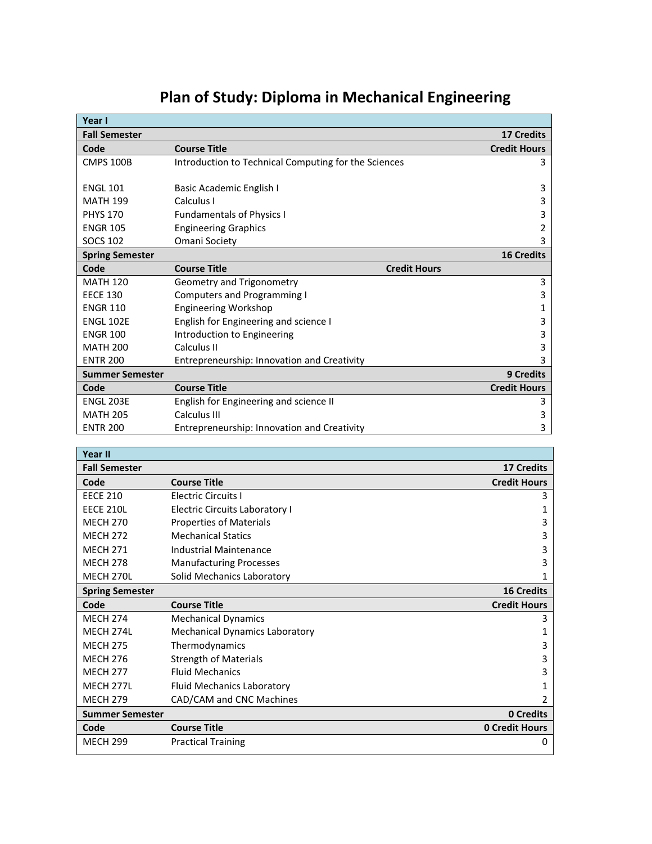# **Plan of Study: Diploma in Mechanical Engineering**

| Year I                 |                                                      |                     |
|------------------------|------------------------------------------------------|---------------------|
| <b>Fall Semester</b>   |                                                      | <b>17 Credits</b>   |
| Code                   | <b>Course Title</b>                                  | <b>Credit Hours</b> |
| <b>CMPS 100B</b>       | Introduction to Technical Computing for the Sciences | 3                   |
|                        |                                                      |                     |
| <b>ENGL 101</b>        | Basic Academic English I                             | 3                   |
| <b>MATH 199</b>        | Calculus I                                           | 3                   |
| <b>PHYS 170</b>        | <b>Fundamentals of Physics I</b>                     | 3                   |
| <b>ENGR 105</b>        | <b>Engineering Graphics</b>                          | 2                   |
| <b>SOCS 102</b>        | Omani Society                                        | 3                   |
| <b>Spring Semester</b> |                                                      | <b>16 Credits</b>   |
| Code                   | <b>Course Title</b>                                  | <b>Credit Hours</b> |
| <b>MATH 120</b>        | Geometry and Trigonometry                            | 3                   |
| <b>EECE 130</b>        | Computers and Programming I                          | 3                   |
| <b>ENGR 110</b>        | <b>Engineering Workshop</b>                          | 1                   |
| <b>ENGL 102E</b>       | English for Engineering and science I                | 3                   |
| <b>ENGR 100</b>        | Introduction to Engineering                          | 3                   |
| <b>MATH 200</b>        | Calculus II                                          | 3                   |
| <b>ENTR 200</b>        | Entrepreneurship: Innovation and Creativity          | 3                   |
| <b>Summer Semester</b> |                                                      | 9 Credits           |
| Code                   | <b>Course Title</b>                                  | <b>Credit Hours</b> |
| <b>ENGL 203E</b>       | English for Engineering and science II               | 3                   |
| <b>MATH 205</b>        | Calculus III                                         | 3                   |
| <b>ENTR 200</b>        | Entrepreneurship: Innovation and Creativity          | 3                   |

| <b>Year II</b>         |                                       |                       |
|------------------------|---------------------------------------|-----------------------|
| <b>Fall Semester</b>   |                                       | <b>17 Credits</b>     |
| Code                   | <b>Course Title</b>                   | <b>Credit Hours</b>   |
| <b>EECE 210</b>        | Electric Circuits I                   | 3                     |
| <b>EECE 210L</b>       | <b>Electric Circuits Laboratory I</b> | 1                     |
| <b>MECH 270</b>        | Properties of Materials               | 3                     |
| <b>MECH 272</b>        | <b>Mechanical Statics</b>             | 3                     |
| <b>MFCH 271</b>        | Industrial Maintenance                | 3                     |
| <b>MECH 278</b>        | <b>Manufacturing Processes</b>        | 3                     |
| MECH 270L              | Solid Mechanics Laboratory            | 1                     |
| <b>Spring Semester</b> |                                       | <b>16 Credits</b>     |
| Code                   | <b>Course Title</b>                   | <b>Credit Hours</b>   |
| <b>MECH 274</b>        | <b>Mechanical Dynamics</b>            | 3                     |
| MECH 274L              | <b>Mechanical Dynamics Laboratory</b> | 1                     |
| <b>MECH 275</b>        | Thermodynamics                        | 3                     |
| <b>MECH 276</b>        | <b>Strength of Materials</b>          | 3                     |
| <b>MECH 277</b>        | <b>Fluid Mechanics</b>                | 3                     |
| MECH 277L              | <b>Fluid Mechanics Laboratory</b>     | 1                     |
| <b>MECH 279</b>        | CAD/CAM and CNC Machines              | 2                     |
| <b>Summer Semester</b> |                                       | <b>0 Credits</b>      |
| Code                   | <b>Course Title</b>                   | <b>0 Credit Hours</b> |
| <b>MECH 299</b>        | <b>Practical Training</b>             | 0                     |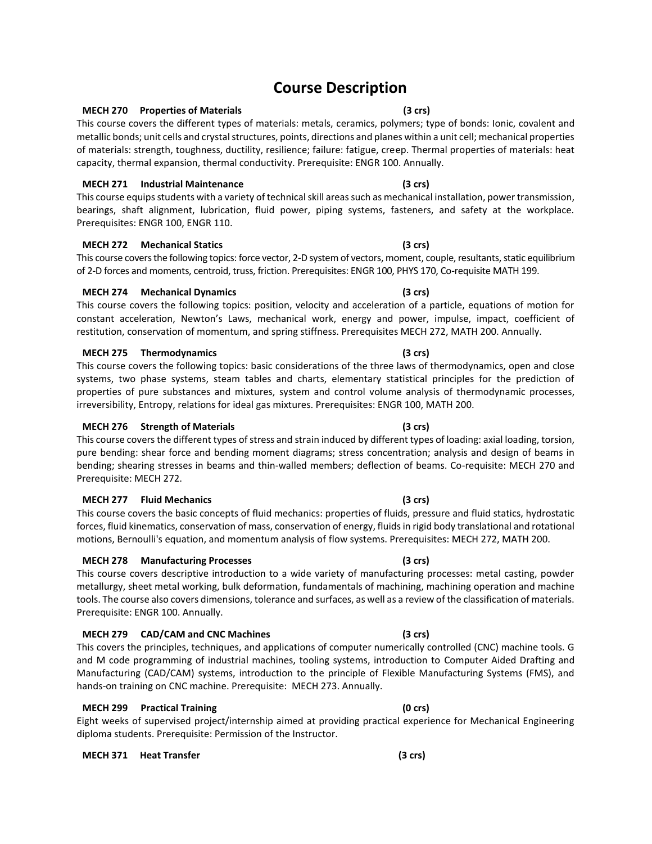# **Course Description**

## **MECH 270 Properties of Materials (3 crs)**

This course covers the different types of materials: metals, ceramics, polymers; type of bonds: Ionic, covalent and metallic bonds; unit cells and crystal structures, points, directions and planes within a unit cell; mechanical properties of materials: strength, toughness, ductility, resilience; failure: fatigue, creep. Thermal properties of materials: heat capacity, thermal expansion, thermal conductivity. Prerequisite: ENGR 100. Annually.

## **MECH 271 Industrial Maintenance (3 crs)**

This course equips students with a variety of technical skill areas such as mechanical installation, power transmission, bearings, shaft alignment, lubrication, fluid power, piping systems, fasteners, and safety at the workplace. Prerequisites: ENGR 100, ENGR 110.

## **MECH 272 Mechanical Statics (3 crs)**

This course covers the following topics: force vector, 2-D system of vectors, moment, couple, resultants, static equilibrium of 2-D forces and moments, centroid, truss, friction. Prerequisites: ENGR 100, PHYS 170, Co-requisite MATH 199.

## **MECH 274 Mechanical Dynamics (3 crs)**

This course covers the following topics: position, velocity and acceleration of a particle, equations of motion for constant acceleration, Newton's Laws, mechanical work, energy and power, impulse, impact, coefficient of restitution, conservation of momentum, and spring stiffness. Prerequisites MECH 272, MATH 200. Annually.

## **MECH 275 Thermodynamics (3 crs)**

This course covers the following topics: basic considerations of the three laws of thermodynamics, open and close systems, two phase systems, steam tables and charts, elementary statistical principles for the prediction of properties of pure substances and mixtures, system and control volume analysis of thermodynamic processes, irreversibility, Entropy, relations for ideal gas mixtures. Prerequisites: ENGR 100, MATH 200.

## **MECH 276 Strength of Materials (3 crs)**

This course covers the different types of stress and strain induced by different types of loading: axial loading, torsion, pure bending: shear force and bending moment diagrams; stress concentration; analysis and design of beams in bending; shearing stresses in beams and thin-walled members; deflection of beams. Co-requisite: MECH 270 and Prerequisite: MECH 272.

## **MECH 277 Fluid Mechanics (3 crs)**

This course covers the basic concepts of fluid mechanics: properties of fluids, pressure and fluid statics, hydrostatic forces, fluid kinematics, conservation of mass, conservation of energy, fluids in rigid body translational and rotational motions, Bernoulli's equation, and momentum analysis of flow systems. Prerequisites: MECH 272, MATH 200.

## **MECH 278 Manufacturing Processes (3 crs)**

This course covers descriptive introduction to a wide variety of manufacturing processes: metal casting, powder metallurgy, sheet metal working, bulk deformation, fundamentals of machining, machining operation and machine tools. The course also covers dimensions, tolerance and surfaces, as well as a review of the classification of materials. Prerequisite: ENGR 100. Annually.

## **MECH 279 CAD/CAM and CNC Machines (3 crs)**

This covers the principles, techniques, and applications of computer numerically controlled (CNC) machine tools. G and M code programming of industrial machines, tooling systems, introduction to Computer Aided Drafting and Manufacturing (CAD/CAM) systems, introduction to the principle of Flexible Manufacturing Systems (FMS), and hands-on training on CNC machine. Prerequisite: MECH 273. Annually.

### **MECH 299 Practical Training (0 crs)**

Eight weeks of supervised project/internship aimed at providing practical experience for Mechanical Engineering diploma students. Prerequisite: Permission of the Instructor.

**MECH 371 Heat Transfer (3 crs)**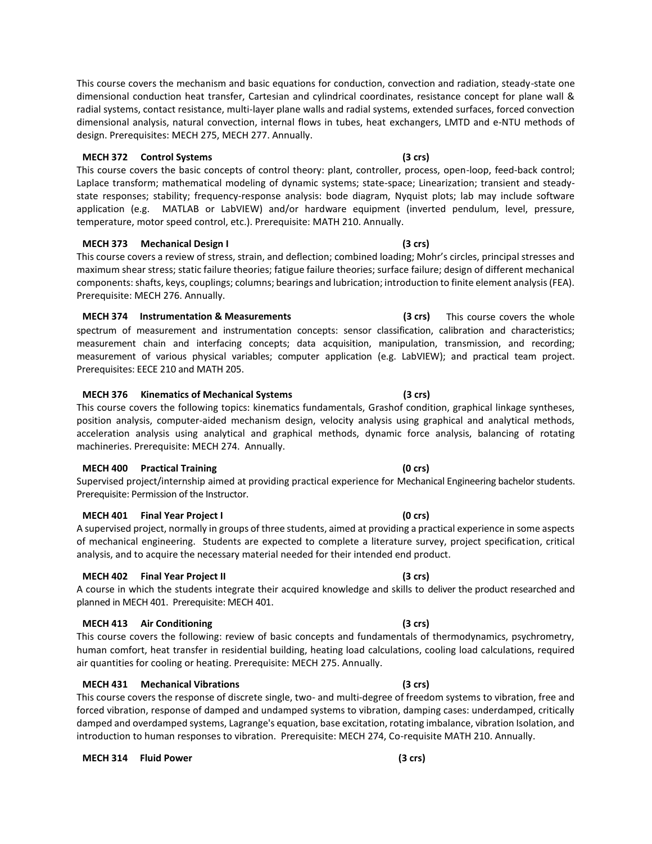measurement chain and interfacing concepts; data acquisition, manipulation, transmission, and recording;

This course covers the whole

## **MECH 373 Mechanical Design I (3 crs)**

### This course covers a review of stress, strain, and deflection; combined loading; Mohr's circles, principal stresses and maximum shear stress; static failure theories; fatigue failure theories; surface failure; design of different mechanical

### measurement of various physical variables; computer application (e.g. LabVIEW); and practical team project. Prerequisites: EECE 210 and MATH 205.

**MECH 374 Instrumentation & Measurements (3 crs)**

temperature, motor speed control, etc.). Prerequisite: MATH 210. Annually.

## **MECH 376 Kinematics of Mechanical Systems (3 crs)**

design. Prerequisites: MECH 275, MECH 277. Annually.

This course covers the following topics: kinematics fundamentals, Grashof condition, graphical linkage syntheses, position analysis, computer-aided mechanism design, velocity analysis using graphical and analytical methods, acceleration analysis using analytical and graphical methods, dynamic force analysis, balancing of rotating machineries. Prerequisite: MECH 274. Annually.

This course covers the mechanism and basic equations for conduction, convection and radiation, steady-state one dimensional conduction heat transfer, Cartesian and cylindrical coordinates, resistance concept for plane wall & radial systems, contact resistance, multi-layer plane walls and radial systems, extended surfaces, forced convection dimensional analysis, natural convection, internal flows in tubes, heat exchangers, LMTD and e-NTU methods of

state responses; stability; frequency-response analysis: bode diagram, Nyquist plots; lab may include software application (e.g. MATLAB or LabVIEW) and/or hardware equipment (inverted pendulum, level, pressure,

components: shafts, keys, couplings; columns; bearings and lubrication; introduction to finite element analysis (FEA).

spectrum of measurement and instrumentation concepts: sensor classification, calibration and characteristics;

## **MECH 400 Practical Training (0 crs)**

Prerequisite: MECH 276. Annually.

Supervised project/internship aimed at providing practical experience for Mechanical Engineering bachelor students. Prerequisite: Permission of the Instructor.

## **MECH 401 Final Year Project I (0 crs)**

A supervised project, normally in groups of three students, aimed at providing a practical experience in some aspects of mechanical engineering. Students are expected to complete a literature survey, project specification, critical analysis, and to acquire the necessary material needed for their intended end product.

## **MECH 402 Final Year Project II (3 crs)**

A course in which the students integrate their acquired knowledge and skills to deliver the product researched and planned in MECH 401. Prerequisite: MECH 401.

## **MECH 413 Air Conditioning (3 crs)**

This course covers the following: review of basic concepts and fundamentals of thermodynamics, psychrometry, human comfort, heat transfer in residential building, heating load calculations, cooling load calculations, required air quantities for cooling or heating. Prerequisite: MECH 275. Annually.

## **MECH 431 Mechanical Vibrations (3 crs)**

This course covers the response of discrete single, two- and multi-degree of freedom systems to vibration, free and forced vibration, response of damped and undamped systems to vibration, damping cases: underdamped, critically damped and overdamped systems, Lagrange's equation, base excitation, rotating imbalance, vibration Isolation, and introduction to human responses to vibration. Prerequisite: MECH 274, Co-requisite MATH 210. Annually.

## **MECH 314 Fluid Power (3 crs)**

## Laplace transform; mathematical modeling of dynamic systems; state-space; Linearization; transient and steady-

### **MECH 372 Control Systems (3 crs)** This course covers the basic concepts of control theory: plant, controller, process, open-loop, feed-back control;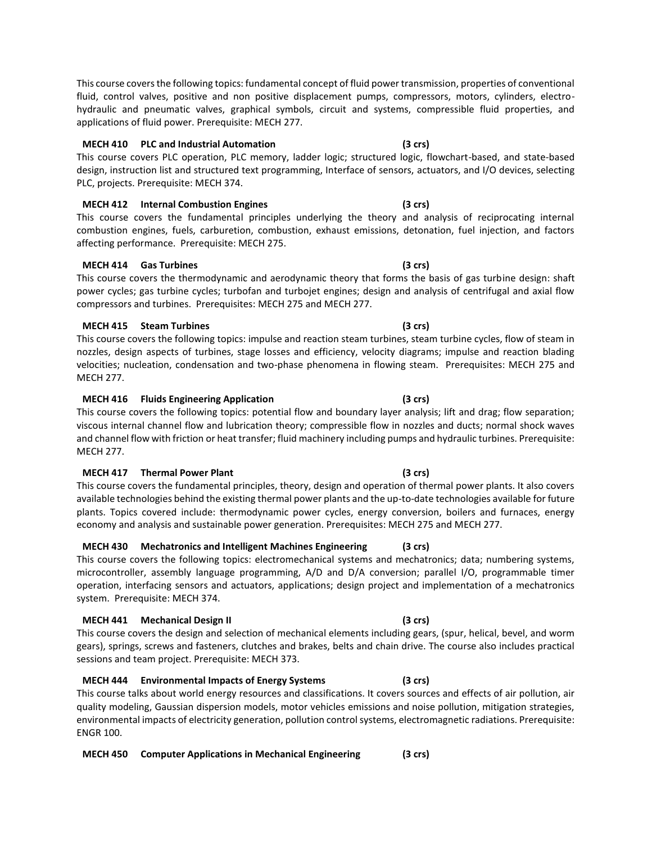This course covers the following topics: fundamental concept of fluid power transmission, properties of conventional fluid, control valves, positive and non positive displacement pumps, compressors, motors, cylinders, electrohydraulic and pneumatic valves, graphical symbols, circuit and systems, compressible fluid properties, and applications of fluid power. Prerequisite: MECH 277.

## **MECH 410 PLC and Industrial Automation (3 crs)**

This course covers PLC operation, PLC memory, ladder logic; structured logic, flowchart-based, and state-based design, instruction list and structured text programming, Interface of sensors, actuators, and I/O devices, selecting PLC, projects. Prerequisite: MECH 374.

## **MECH 412 Internal Combustion Engines (3 crs)**

This course covers the fundamental principles underlying the theory and analysis of reciprocating internal combustion engines, fuels, carburetion, combustion, exhaust emissions, detonation, fuel injection, and factors affecting performance. Prerequisite: MECH 275.

## **MECH 414 Gas Turbines (3 crs)**

This course covers the thermodynamic and aerodynamic theory that forms the basis of gas turbine design: shaft power cycles; gas turbine cycles; turbofan and turbojet engines; design and analysis of centrifugal and axial flow compressors and turbines. Prerequisites: MECH 275 and MECH 277.

## **MECH 415 Steam Turbines (3 crs)**

This course covers the following topics: impulse and reaction steam turbines, steam turbine cycles, flow of steam in nozzles, design aspects of turbines, stage losses and efficiency, velocity diagrams; impulse and reaction blading velocities; nucleation, condensation and two-phase phenomena in flowing steam. Prerequisites: MECH 275 and MECH 277.

## **MECH 416 Fluids Engineering Application (3 crs)**

This course covers the following topics: potential flow and boundary layer analysis; lift and drag; flow separation; viscous internal channel flow and lubrication theory; compressible flow in nozzles and ducts; normal shock waves and channel flow with friction or heat transfer; fluid machinery including pumps and hydraulic turbines. Prerequisite: MECH 277.

## **MECH 417 Thermal Power Plant (3 crs)**

This course covers the fundamental principles, theory, design and operation of thermal power plants. It also covers available technologies behind the existing thermal power plants and the up-to-date technologies available for future plants. Topics covered include: thermodynamic power cycles, energy conversion, boilers and furnaces, energy economy and analysis and sustainable power generation. Prerequisites: MECH 275 and MECH 277.

## **MECH 430 Mechatronics and Intelligent Machines Engineering (3 crs)**

This course covers the following topics: electromechanical systems and mechatronics; data; numbering systems, microcontroller, assembly language programming, A/D and D/A conversion; parallel I/O, programmable timer operation, interfacing sensors and actuators, applications; design project and implementation of a mechatronics system. Prerequisite: MECH 374.

## **MECH 441 Mechanical Design II (3 crs)**

This course covers the design and selection of mechanical elements including gears, (spur, helical, bevel, and worm gears), springs, screws and fasteners, clutches and brakes, belts and chain drive. The course also includes practical sessions and team project. Prerequisite: MECH 373.

## **MECH 444 Environmental Impacts of Energy Systems (3 crs)**

This course talks about world energy resources and classifications. It covers sources and effects of air pollution, air quality modeling, Gaussian dispersion models, motor vehicles emissions and noise pollution, mitigation strategies, environmental impacts of electricity generation, pollution control systems, electromagnetic radiations. Prerequisite: ENGR 100.

**MECH 450 Computer Applications in Mechanical Engineering (3 crs)**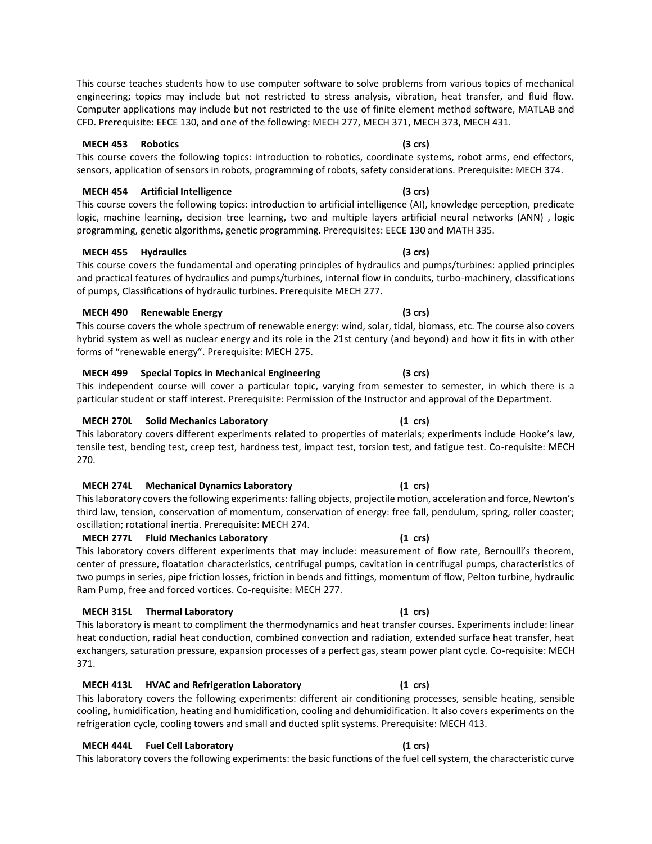This course teaches students how to use computer software to solve problems from various topics of mechanical engineering; topics may include but not restricted to stress analysis, vibration, heat transfer, and fluid flow. Computer applications may include but not restricted to the use of finite element method software, MATLAB and CFD. Prerequisite: EECE 130, and one of the following: MECH 277, MECH 371, MECH 373, MECH 431.

## **MECH 453 Robotics (3 crs)**

This course covers the following topics: introduction to robotics, coordinate systems, robot arms, end effectors, sensors, application of sensors in robots, programming of robots, safety considerations. Prerequisite: MECH 374.

### **MECH 454 Artificial Intelligence (3 crs)**

This course covers the following topics: introduction to artificial intelligence (AI), knowledge perception, predicate logic, machine learning, decision tree learning, two and multiple layers artificial neural networks (ANN) , logic programming, genetic algorithms, genetic programming. Prerequisites: EECE 130 and MATH 335.

### **MECH 455 Hydraulics (3 crs)**

This course covers the fundamental and operating principles of hydraulics and pumps/turbines: applied principles and practical features of hydraulics and pumps/turbines, internal flow in conduits, turbo-machinery, classifications of pumps, Classifications of hydraulic turbines. Prerequisite MECH 277.

### **MECH 490 Renewable Energy (3 crs)**

This course covers the whole spectrum of renewable energy: wind, solar, tidal, biomass, etc. The course also covers hybrid system as well as nuclear energy and its role in the 21st century (and beyond) and how it fits in with other forms of "renewable energy". Prerequisite: MECH 275.

### **MECH 499 Special Topics in Mechanical Engineering (3 crs)**

This independent course will cover a particular topic, varying from semester to semester, in which there is a particular student or staff interest. Prerequisite: Permission of the Instructor and approval of the Department.

### **MECH 270L Solid Mechanics Laboratory (1 crs)**

This laboratory covers different experiments related to properties of materials; experiments include Hooke's law, tensile test, bending test, creep test, hardness test, impact test, torsion test, and fatigue test. Co-requisite: MECH 270.

### **MECH 274L Mechanical Dynamics Laboratory (1 crs)**

This laboratory covers the following experiments: falling objects, projectile motion, acceleration and force, Newton's third law, tension, conservation of momentum, conservation of energy: free fall, pendulum, spring, roller coaster; oscillation; rotational inertia. Prerequisite: MECH 274.

### **MECH 277L Fluid Mechanics Laboratory (1 crs)**

This laboratory covers different experiments that may include: measurement of flow rate, Bernoulli's theorem, center of pressure, floatation characteristics, centrifugal pumps, cavitation in centrifugal pumps, characteristics of two pumps in series, pipe friction losses, friction in bends and fittings, momentum of flow, Pelton turbine, hydraulic Ram Pump, free and forced vortices. Co-requisite: MECH 277.

### **MECH 315L Thermal Laboratory (1 crs)**

This laboratory is meant to compliment the thermodynamics and heat transfer courses. Experiments include: linear heat conduction, radial heat conduction, combined convection and radiation, extended surface heat transfer, heat exchangers, saturation pressure, expansion processes of a perfect gas, steam power plant cycle. Co-requisite: MECH 371.

### **MECH 413L HVAC and Refrigeration Laboratory (1 crs)**

This laboratory covers the following experiments: different air conditioning processes, sensible heating, sensible cooling, humidification, heating and humidification, cooling and dehumidification. It also covers experiments on the refrigeration cycle, cooling towers and small and ducted split systems. Prerequisite: MECH 413.

### **MECH 444L Fuel Cell Laboratory (1 crs)**

This laboratory covers the following experiments: the basic functions of the fuel cell system, the characteristic curve